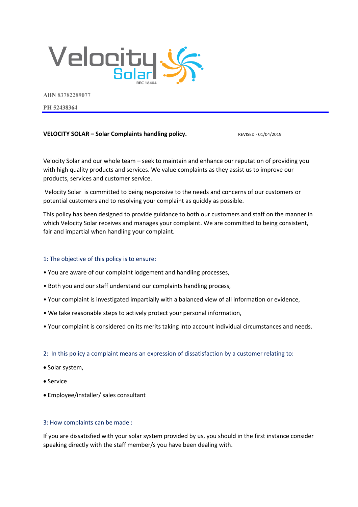

**ABN 83782289077**

**PH 52438364**

# **VELOCITY SOLAR – Solar Complaints handling policy.** REVISED - 01/04/2019

Velocity Solar and our whole team – seek to maintain and enhance our reputation of providing you with high quality products and services. We value complaints as they assist us to improve our products, services and customer service.

Velocity Solar is committed to being responsive to the needs and concerns of our customers or potential customers and to resolving your complaint as quickly as possible.

This policy has been designed to provide guidance to both our customers and staff on the manner in which Velocity Solar receives and manages your complaint. We are committed to being consistent, fair and impartial when handling your complaint.

## 1: The objective of this policy is to ensure:

- You are aware of our complaint lodgement and handling processes,
- Both you and our staff understand our complaints handling process,
- Your complaint is investigated impartially with a balanced view of all information or evidence,
- We take reasonable steps to actively protect your personal information,
- Your complaint is considered on its merits taking into account individual circumstances and needs.

## 2: In this policy a complaint means an expression of dissatisfaction by a customer relating to:

- Solar system,
- Service
- Employee/installer/ sales consultant

# 3: How complaints can be made :

If you are dissatisfied with your solar system provided by us, you should in the first instance consider speaking directly with the staff member/s you have been dealing with.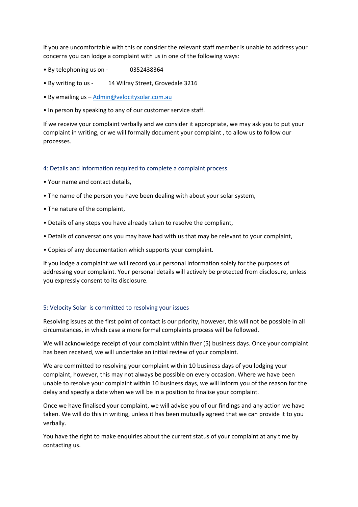If you are uncomfortable with this or consider the relevant staff member is unable to address your concerns you can lodge a complaint with us in one of the following ways:

- By telephoning us on 0352438364
- By writing to us 14 Wilray Street, Grovedale 3216
- By emailing us Admin@velocitysolar.com.au
- In person by speaking to any of our customer service staff.

If we receive your complaint verbally and we consider it appropriate, we may ask you to put your complaint in writing, or we will formally document your complaint , to allow us to follow our processes.

## 4: Details and information required to complete a complaint process.

- Your name and contact details,
- The name of the person you have been dealing with about your solar system,
- The nature of the complaint,
- Details of any steps you have already taken to resolve the compliant,
- Details of conversations you may have had with us that may be relevant to your complaint,
- Copies of any documentation which supports your complaint.

If you lodge a complaint we will record your personal information solely for the purposes of addressing your complaint. Your personal details will actively be protected from disclosure, unless you expressly consent to its disclosure.

## 5: Velocity Solar is committed to resolving your issues

Resolving issues at the first point of contact is our priority, however, this will not be possible in all circumstances, in which case a more formal complaints process will be followed.

We will acknowledge receipt of your complaint within fiver (5) business days. Once your complaint has been received, we will undertake an initial review of your complaint.

We are committed to resolving your complaint within 10 business days of you lodging your complaint, however, this may not always be possible on every occasion. Where we have been unable to resolve your complaint within 10 business days, we will inform you of the reason for the delay and specify a date when we will be in a position to finalise your complaint.

Once we have finalised your complaint, we will advise you of our findings and any action we have taken. We will do this in writing, unless it has been mutually agreed that we can provide it to you verbally.

You have the right to make enquiries about the current status of your complaint at any time by contacting us.